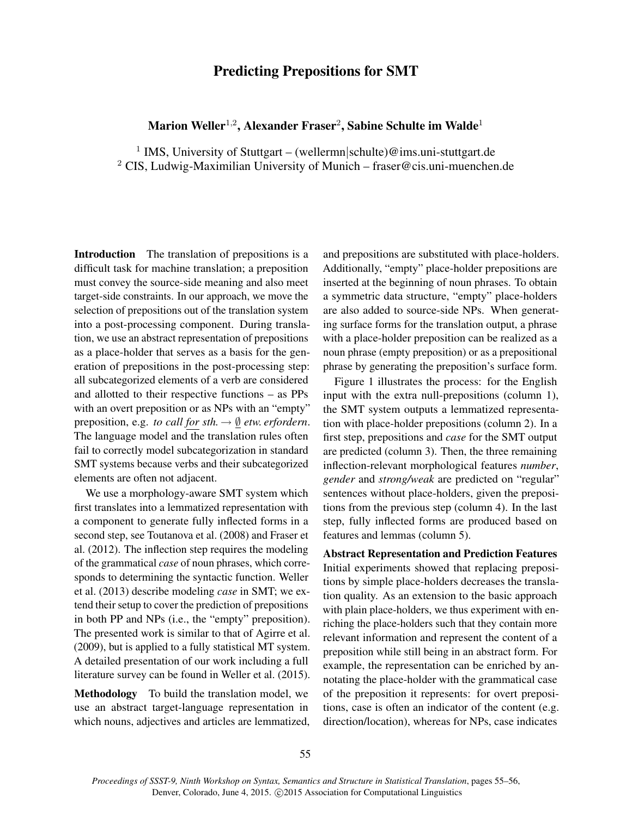## Predicting Prepositions for SMT

## Marion Weller $^{1,2}$ , Alexander Fraser $^2$ , Sabine Schulte im Walde $^1$

<sup>1</sup> IMS, University of Stuttgart – (wellermn|schulte)@ims.uni-stuttgart.de <sup>2</sup> CIS, Ludwig-Maximilian University of Munich – fraser@cis.uni-muenchen.de

Introduction The translation of prepositions is a difficult task for machine translation; a preposition must convey the source-side meaning and also meet target-side constraints. In our approach, we move the selection of prepositions out of the translation system into a post-processing component. During translation, we use an abstract representation of prepositions as a place-holder that serves as a basis for the generation of prepositions in the post-processing step: all subcategorized elements of a verb are considered and allotted to their respective functions – as PPs with an overt preposition or as NPs with an "empty" preposition, e.g. *to call for sth.*  $\rightarrow \emptyset$  *etw. erfordern.* The language model and the translation rules often fail to correctly model subcategorization in standard SMT systems because verbs and their subcategorized elements are often not adjacent.

We use a morphology-aware SMT system which first translates into a lemmatized representation with a component to generate fully inflected forms in a second step, see Toutanova et al. (2008) and Fraser et al. (2012). The inflection step requires the modeling of the grammatical *case* of noun phrases, which corresponds to determining the syntactic function. Weller et al. (2013) describe modeling *case* in SMT; we extend their setup to cover the prediction of prepositions in both PP and NPs (i.e., the "empty" preposition). The presented work is similar to that of Agirre et al. (2009), but is applied to a fully statistical MT system. A detailed presentation of our work including a full literature survey can be found in Weller et al. (2015).

Methodology To build the translation model, we use an abstract target-language representation in which nouns, adjectives and articles are lemmatized, and prepositions are substituted with place-holders. Additionally, "empty" place-holder prepositions are inserted at the beginning of noun phrases. To obtain a symmetric data structure, "empty" place-holders are also added to source-side NPs. When generating surface forms for the translation output, a phrase with a place-holder preposition can be realized as a noun phrase (empty preposition) or as a prepositional phrase by generating the preposition's surface form.

Figure 1 illustrates the process: for the English input with the extra null-prepositions (column 1), the SMT system outputs a lemmatized representation with place-holder prepositions (column 2). In a first step, prepositions and *case* for the SMT output are predicted (column 3). Then, the three remaining inflection-relevant morphological features *number*, *gender* and *strong/weak* are predicted on "regular" sentences without place-holders, given the prepositions from the previous step (column 4). In the last step, fully inflected forms are produced based on features and lemmas (column 5).

Abstract Representation and Prediction Features Initial experiments showed that replacing prepositions by simple place-holders decreases the translation quality. As an extension to the basic approach with plain place-holders, we thus experiment with enriching the place-holders such that they contain more relevant information and represent the content of a preposition while still being in an abstract form. For example, the representation can be enriched by annotating the place-holder with the grammatical case of the preposition it represents: for overt prepositions, case is often an indicator of the content (e.g. direction/location), whereas for NPs, case indicates